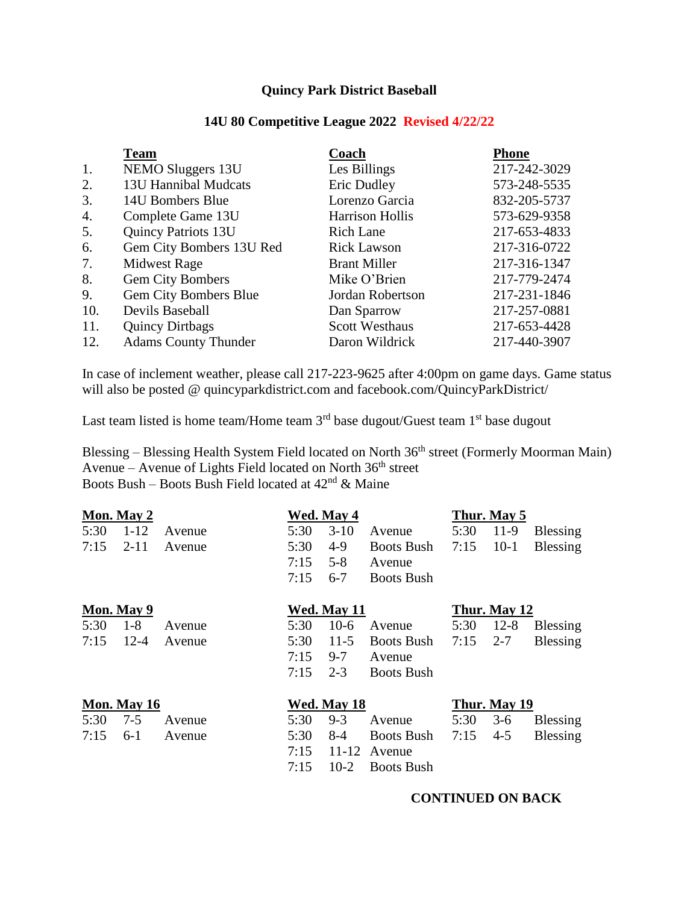# **Quincy Park District Baseball**

# **14U 80 Competitive League 2022 Revised 4/22/22**

|     | <b>Team</b>                 | Coach                  | <b>Phone</b> |
|-----|-----------------------------|------------------------|--------------|
| 1.  | NEMO Sluggers 13U           | Les Billings           | 217-242-3029 |
| 2.  | 13U Hannibal Mudcats        | Eric Dudley            | 573-248-5535 |
| 3.  | 14U Bombers Blue            | Lorenzo Garcia         | 832-205-5737 |
| 4.  | Complete Game 13U           | <b>Harrison Hollis</b> | 573-629-9358 |
| 5.  | <b>Quincy Patriots 13U</b>  | <b>Rich Lane</b>       | 217-653-4833 |
| 6.  | Gem City Bombers 13U Red    | <b>Rick Lawson</b>     | 217-316-0722 |
| 7.  | <b>Midwest Rage</b>         | <b>Brant Miller</b>    | 217-316-1347 |
| 8.  | Gem City Bombers            | Mike O'Brien           | 217-779-2474 |
| 9.  | Gem City Bombers Blue       | Jordan Robertson       | 217-231-1846 |
| 10. | Devils Baseball             | Dan Sparrow            | 217-257-0881 |
| 11. | <b>Quincy Dirtbags</b>      | <b>Scott Westhaus</b>  | 217-653-4428 |
| 12. | <b>Adams County Thunder</b> | Daron Wildrick         | 217-440-3907 |

In case of inclement weather, please call 217-223-9625 after 4:00pm on game days. Game status will also be posted @ quincyparkdistrict.com and facebook.com/QuincyParkDistrict/

Last team listed is home team/Home team  $3<sup>rd</sup>$  base dugout/Guest team  $1<sup>st</sup>$  base dugout

Blessing – Blessing Health System Field located on North 36<sup>th</sup> street (Formerly Moorman Main) Avenue – Avenue of Lights Field located on North  $36<sup>th</sup>$  street Boots Bush – Boots Bush Field located at  $42<sup>nd</sup>$  & Maine

|             | Mon. May 2 |        |             | Wed. May 4  |                   |      | Thur. May 5  |                 |
|-------------|------------|--------|-------------|-------------|-------------------|------|--------------|-----------------|
| 5:30        | $1 - 12$   | Avenue | 5:30        | $3-10$      | Avenue            | 5:30 | 11-9         | <b>Blessing</b> |
| 7:15        | $2 - 11$   | Avenue | 5:30        | $4-9$       | <b>Boots Bush</b> | 7:15 | $10-1$       | <b>Blessing</b> |
|             |            |        | 7:15        | $5 - 8$     | Avenue            |      |              |                 |
|             |            |        | 7:15        | $6 - 7$     | <b>Boots Bush</b> |      |              |                 |
|             | Mon. May 9 |        |             | Wed. May 11 |                   |      | Thur. May 12 |                 |
| 5:30        | $1-8$      | Avenue | 5:30        | $10-6$      | Avenue            | 5:30 | $12 - 8$     | <b>Blessing</b> |
| 7:15        | $12 - 4$   | Avenue | 5:30        | $11-5$      | <b>Boots Bush</b> | 7:15 | $2 - 7$      | <b>Blessing</b> |
|             |            |        | 7:15        | $9 - 7$     | Avenue            |      |              |                 |
|             |            |        | 7:15        | $2 - 3$     | <b>Boots Bush</b> |      |              |                 |
| Mon. May 16 |            |        | Wed. May 18 |             | Thur. May 19      |      |              |                 |
| 5:30        | $7 - 5$    | Avenue | 5:30        | $9 - 3$     | Avenue            | 5:30 | $3-6$        | <b>Blessing</b> |
| 7:15        | $6-1$      | Avenue | 5:30        | $8-4$       | <b>Boots Bush</b> | 7:15 | $4 - 5$      | <b>Blessing</b> |
|             |            |        | 7:15        | 11-12       | Avenue            |      |              |                 |
|             |            |        | 7:15        | $10-2$      | <b>Boots Bush</b> |      |              |                 |

## **CONTINUED ON BACK**